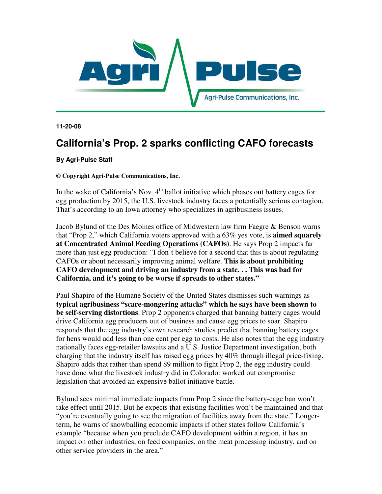

**11-20-08** 

## **California's Prop. 2 sparks conflicting CAFO forecasts**

## **By Agri-Pulse Staff**

## **© Copyright Agri-Pulse Communications, Inc.**

In the wake of California's Nov.  $4<sup>th</sup>$  ballot initiative which phases out battery cages for egg production by 2015, the U.S. livestock industry faces a potentially serious contagion. That's according to an Iowa attorney who specializes in agribusiness issues.

Jacob Bylund of the Des Moines office of Midwestern law firm Faegre & Benson warns that "Prop 2," which California voters approved with a 63% yes vote, is **aimed squarely at Concentrated Animal Feeding Operations (CAFOs)**. He says Prop 2 impacts far more than just egg production: "I don't believe for a second that this is about regulating CAFOs or about necessarily improving animal welfare. **This is about prohibiting CAFO development and driving an industry from a state. . . This was bad for California, and it's going to be worse if spreads to other states."** 

Paul Shapiro of the Humane Society of the United States dismisses such warnings as **typical agribusiness "scare-mongering attacks" which he says have been shown to be self-serving distortions**. Prop 2 opponents charged that banning battery cages would drive California egg producers out of business and cause egg prices to soar. Shapiro responds that the egg industry's own research studies predict that banning battery cages for hens would add less than one cent per egg to costs. He also notes that the egg industry nationally faces egg-retailer lawsuits and a U.S. Justice Department investigation, both charging that the industry itself has raised egg prices by 40% through illegal price-fixing. Shapiro adds that rather than spend \$9 million to fight Prop 2, the egg industry could have done what the livestock industry did in Colorado: worked out compromise legislation that avoided an expensive ballot initiative battle.

Bylund sees minimal immediate impacts from Prop 2 since the battery-cage ban won't take effect until 2015. But he expects that existing facilities won't be maintained and that "you're eventually going to see the migration of facilities away from the state." Longerterm, he warns of snowballing economic impacts if other states follow California's example "because when you preclude CAFO development within a region, it has an impact on other industries, on feed companies, on the meat processing industry, and on other service providers in the area."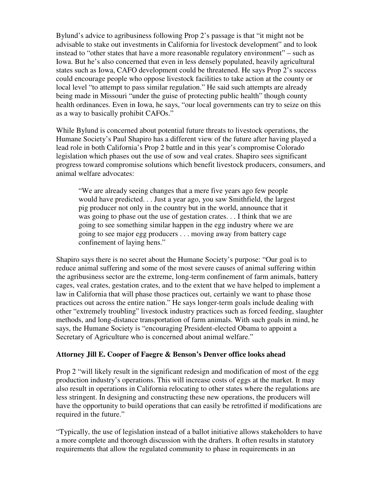Bylund's advice to agribusiness following Prop 2's passage is that "it might not be advisable to stake out investments in California for livestock development" and to look instead to "other states that have a more reasonable regulatory environment" – such as Iowa. But he's also concerned that even in less densely populated, heavily agricultural states such as Iowa, CAFO development could be threatened. He says Prop 2's success could encourage people who oppose livestock facilities to take action at the county or local level "to attempt to pass similar regulation." He said such attempts are already being made in Missouri "under the guise of protecting public health" though county health ordinances. Even in Iowa, he says, "our local governments can try to seize on this as a way to basically prohibit CAFOs."

While Bylund is concerned about potential future threats to livestock operations, the Humane Society's Paul Shapiro has a different view of the future after having played a lead role in both California's Prop 2 battle and in this year's compromise Colorado legislation which phases out the use of sow and veal crates. Shapiro sees significant progress toward compromise solutions which benefit livestock producers, consumers, and animal welfare advocates:

"We are already seeing changes that a mere five years ago few people would have predicted. . . Just a year ago, you saw Smithfield, the largest pig producer not only in the country but in the world, announce that it was going to phase out the use of gestation crates. . . I think that we are going to see something similar happen in the egg industry where we are going to see major egg producers . . . moving away from battery cage confinement of laying hens."

Shapiro says there is no secret about the Humane Society's purpose: "Our goal is to reduce animal suffering and some of the most severe causes of animal suffering within the agribusiness sector are the extreme, long-term confinement of farm animals, battery cages, veal crates, gestation crates, and to the extent that we have helped to implement a law in California that will phase those practices out, certainly we want to phase those practices out across the entire nation." He says longer-term goals include dealing with other "extremely troubling" livestock industry practices such as forced feeding, slaughter methods, and long-distance transportation of farm animals. With such goals in mind, he says, the Humane Society is "encouraging President-elected Obama to appoint a Secretary of Agriculture who is concerned about animal welfare."

## **Attorney Jill E. Cooper of Faegre & Benson's Denver office looks ahead**

Prop 2 "will likely result in the significant redesign and modification of most of the egg production industry's operations. This will increase costs of eggs at the market. It may also result in operations in California relocating to other states where the regulations are less stringent. In designing and constructing these new operations, the producers will have the opportunity to build operations that can easily be retrofitted if modifications are required in the future."

"Typically, the use of legislation instead of a ballot initiative allows stakeholders to have a more complete and thorough discussion with the drafters. It often results in statutory requirements that allow the regulated community to phase in requirements in an